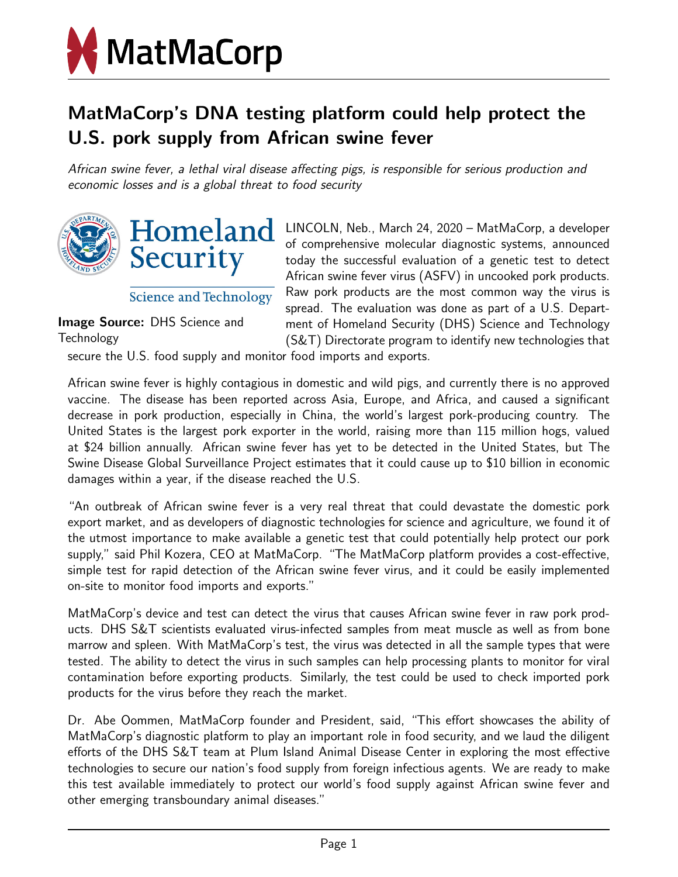

## MatMaCorp's DNA testing platform could help protect the U.S. pork supply from African swine fever

African swine fever, a lethal viral disease affecting pigs, is responsible for serious production and economic losses and is a global threat to food security



**Science and Technology** 

Image Source: DHS Science and Technology

LINCOLN, Neb., March 24, 2020 – MatMaCorp, a developer of comprehensive molecular diagnostic systems, announced today the successful evaluation of a genetic test to detect African swine fever virus (ASFV) in uncooked pork products. Raw pork products are the most common way the virus is spread. The evaluation was done as part of a U.S. Department of Homeland Security (DHS) Science and Technology (S&T) Directorate program to identify new technologies that

secure the U.S. food supply and monitor food imports and exports.

African swine fever is highly contagious in domestic and wild pigs, and currently there is no approved vaccine. The disease has been reported across Asia, Europe, and Africa, and caused a significant decrease in pork production, especially in China, the world's largest pork-producing country. The United States is the largest pork exporter in the world, raising more than 115 million hogs, valued at \$24 billion annually. African swine fever has yet to be detected in the United States, but The Swine Disease Global Surveillance Project estimates that it could cause up to \$10 billion in economic damages within a year, if the disease reached the U.S.

"An outbreak of African swine fever is a very real threat that could devastate the domestic pork export market, and as developers of diagnostic technologies for science and agriculture, we found it of the utmost importance to make available a genetic test that could potentially help protect our pork supply," said Phil Kozera, CEO at MatMaCorp. "The MatMaCorp platform provides a cost-effective, simple test for rapid detection of the African swine fever virus, and it could be easily implemented on-site to monitor food imports and exports."

MatMaCorp's device and test can detect the virus that causes African swine fever in raw pork products. DHS S&T scientists evaluated virus-infected samples from meat muscle as well as from bone marrow and spleen. With MatMaCorp's test, the virus was detected in all the sample types that were tested. The ability to detect the virus in such samples can help processing plants to monitor for viral contamination before exporting products. Similarly, the test could be used to check imported pork products for the virus before they reach the market.

Dr. Abe Oommen, MatMaCorp founder and President, said, "This effort showcases the ability of MatMaCorp's diagnostic platform to play an important role in food security, and we laud the diligent efforts of the DHS S&T team at Plum Island Animal Disease Center in exploring the most effective technologies to secure our nation's food supply from foreign infectious agents. We are ready to make this test available immediately to protect our world's food supply against African swine fever and other emerging transboundary animal diseases."